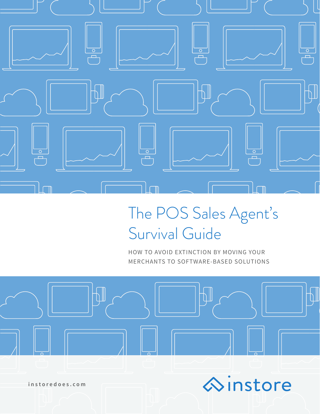

# The POS Sales Agent's Survival Guide

HOW TO AVOID EXTINCTION BY MOVING YOUR MERCHANTS TO SOFTWARE-BASED SOLUTIONS





**[instoredoes.com](http://instoredoes.com/)**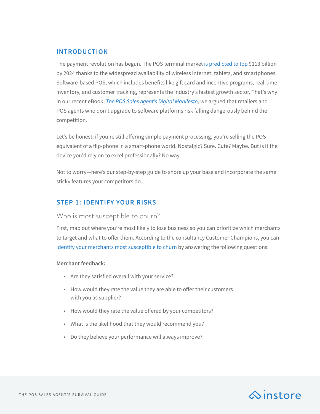# **INTRODUCTION**

The payment revolution has begun. The POS terminal market [is predicted to top](http://www.grandviewresearch.com/press-release/global-point-of-sale-terminals-market) \$113 billion by 2024 thanks to the widespread availability of wireless internet, tablets, and smartphones. Software-based POS, which includes benefits like gift card and incentive programs, real-time inventory, and customer tracking, represents the industry's fastest growth sector. That's why in our recent eBook, *[The POS Sales Agent's Digital Manifesto](http://instoredoes.com/agents-digital-manifesto/)*, we argued that retailers and POS agents who don't upgrade to software platforms risk falling dangerously behind the competition.

Let's be honest: if you're still offering simple payment processing, you're selling the POS equivalent of a flip-phone in a smart-phone world. Nostalgic? Sure. Cute? Maybe. But is it the device you'd rely on to excel professionally? No way.

Not to worry—here's our step-by-step guide to shore up your base and incorporate the same sticky features your competitors do.

# **STEP 1: IDENTIFY YOUR RISKS**

# Who is most susceptible to churn?

First, map out where you're most likely to lose business so you can prioritize which merchants to target and what to offer them. According to the consultancy Customer Champions, you can [identify your merchants most susceptible to churn](http://www.customerchampions.co.uk/identifying-customers-at-risk-of-leaving/) by answering the following questions:

### **Merchant feedback:**

- Are they satisfied overall with your service?
- How would they rate the value they are able to offer their customers with you as supplier?
- How would they rate the value offered by your competitors?
- What is the likelihood that they would recommend you?
- Do they believe your performance will always improve?

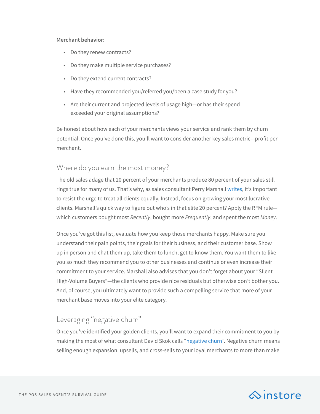#### **Merchant behavior:**

- Do they renew contracts?
- Do they make multiple service purchases?
- Do they extend current contracts?
- Have they recommended you/referred you/been a case study for you?
- Are their current and projected levels of usage high—or has their spend exceeded your original assumptions?

Be honest about how each of your merchants views your service and rank them by churn potential. Once you've done this, you'll want to consider another key sales metric—profit per merchant.

# Where do you earn the most money?

The old sales adage that 20 percent of your merchants produce 80 percent of your sales still rings true for many of us. That's why, as sales consultant Perry Marshall [writes](https://www.entrepreneur.com/article/229294), it's important to resist the urge to treat all clients equally. Instead, focus on growing your most lucrative clients. Marshall's quick way to figure out who's in that elite 20 percent? Apply the RFM rule which customers bought most *Recently*, bought more *Frequently*, and spent the most *Money*.

Once you've got this list, evaluate how you keep those merchants happy. Make sure you understand their pain points, their goals for their business, and their customer base. Show up in person and chat them up, take them to lunch, get to know them. You want them to like you so much they recommend you to other businesses and continue or even increase their commitment to your service. Marshall also advises that you don't forget about your "SIlent High-Volume Buyers"—the clients who provide nice residuals but otherwise don't bother you. And, of course, you ultimately want to provide such a compelling service that more of your merchant base moves into your elite category.

# Leveraging "negative churn"

Once you've identified your golden clients, you'll want to expand their commitment to you by making the most of what consultant David Skok calls "[negative churn](http://www.forentrepreneurs.com/why-churn-is-critical-in-saas/)". Negative churn means selling enough expansion, upsells, and cross-sells to your loyal merchants to more than make

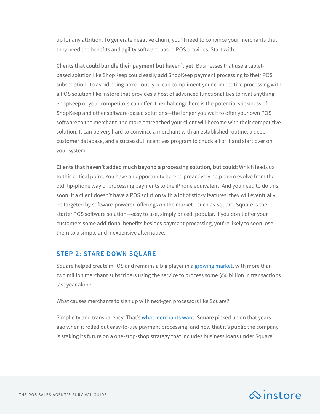up for any attrition. To generate negative churn, you'll need to convince your merchants that they need the benefits and agility software-based POS provides. Start with:

**Clients that could bundle their payment but haven't yet:** Businesses that use a tabletbased solution like ShopKeep could easily add ShopKeep payment processing to their POS subscription. To avoid being boxed out, you can compliment your competitive processing with a POS solution like Instore that provides a host of advanced functionalities to rival anything ShopKeep or your competitors can offer. The challenge here is the potential stickiness of ShopKeep and other software-based solutions—the longer you wait to offer your own POS software to the merchant, the more entrenched your client will become with their competitive solution. It can be very hard to convince a merchant with an established routine, a deep customer database, and a successful incentives program to chuck all of it and start over on your system.

**Clients that haven't added much beyond a processing solution, but could:** Which leads us to this critical point. You have an opportunity here to proactively help them evolve from the old flip-phone way of processing payments to the iPhone equivalent. And you need to do this soon. If a client doesn't have a POS solution with a lot of sticky features, they will eventually be targeted by software-powered offerings on the market—such as Square. Square is the starter POS software solution—easy to use, simply priced, popular. If you don't offer your customers some additional benefits besides payment processing, you're likely to soon lose them to a simple and inexpensive alternative.

# **STEP 2: STARE DOWN SQUARE**

Square helped create mPOS and remains a big player in a [growing market](http://www.cnbc.com/2015/11/17/squares-place-in-a-crowded-mobile-payments-market.html), with more than two million merchant subscribers using the service to process some \$50 billion in transactions last year alone.

What causes merchants to sign up with next-gen processors like Square?

Simplicity and transparency. That's [what merchants want.](https://www.forbes.com/forbes/welcome/?toURL=https://www.forbes.com/sites/ryanmac/2016/02/17/square-small-business-payroll-capital-transition/&refURL=&referrer=#2ebab5557fc7) Square picked up on that years ago when it rolled out easy-to-use payment processing, and now that it's public the company is staking its future on a one-stop-shop strategy that includes business loans under Square

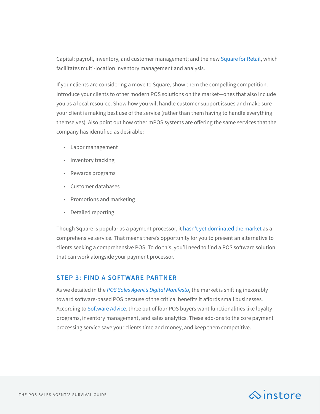Capital; payroll, inventory, and customer management; and the new [Square for Retail,](https://squareup.com/pos/retail) which facilitates multi-location inventory management and analysis.

If your clients are considering a move to Square, show them the compelling competition. Introduce your clients to other modern POS solutions on the market—ones that also include you as a local resource. Show how you will handle customer support issues and make sure your client is making best use of the service (rather than them having to handle everything themselves). Also point out how other mPOS systems are offering the same services that the company has identified as desirable:

- Labor management
- Inventory tracking
- Rewards programs
- Customer databases
- Promotions and marketing
- Detailed reporting

Though Square is popular as a payment processor, it [hasn't yet dominated the market](https://www.fool.com/investing/2016/12/30/square-incs-best-product-of-2016.aspx) as a comprehensive service. That means there's opportunity for you to present an alternative to clients seeking a comprehensive POS. To do this, you'll need to find a POS software solution that can work alongside your payment processor.

# **STEP 3: FIND A SOFTWARE PARTNER**

As we detailed in the *[POS Sales Agent's Digital Manifesto](http://instoredoes.com/agents-digital-manifesto/)*, the market is shifting inexorably toward software-based POS because of the critical benefits it affords small businesses. According to [Software Advice](http://www.softwareadvice.com/resources/retail-pos-features-for-small-business/), three out of four POS buyers want functionalities like loyalty programs, inventory management, and sales analytics. These add-ons to the core payment processing service save your clients time and money, and keep them competitive.

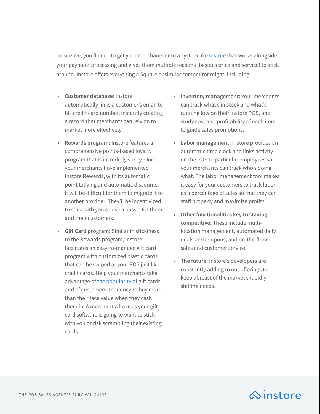To survive, you'll need to get your merchants onto a system like [Instore](http://instoredoes.com/) that works alongside your payment processing and gives them multiple reasons (besides price and service) to stick around. Instore offers everything a Square or similar competitor might, including:

- **Customer database:** Instore automatically links a customer's email to his credit card number, instantly creating a record that merchants can rely on to market more effectively.
- **Rewards program:** Instore features a comprehensive points-based loyalty program that is incredibly sticky. Once your merchants have implemented Instore Rewards, with its automatic point tallying and automatic discounts, it will be difficult for them to migrate it to another provider. They'll be incentivized to stick with you or risk a hassle for them and their customers.
- **Gift Card program:** Similar in stickiness to the Rewards program, Instore facilitates an easy-to-manage gift card program with customized plastic cards that can be swiped at your POS just like credit cards. Help your merchants take advantage of [the popularity](http://www.creditcards.com/credit-card-news/prepaid-gift-card-statistics-1276.php) of gift cards and of customers' tendency to buy more than their face value when they cash them in. A merchant who uses your gift card software is going to want to stick with you or risk scrambling their existing cards.
- **Inventory management:** Your merchants can track what's in stock and what's running low on their Instore POS, and study cost and profitability of each item to guide sales promotions.
- **Labor management:** Instore provides an automatic time clock and links activity on the POS to particular employees so your merchants can track who's doing what. The labor management tool makes it easy for your customers to track labor as a percentage of sales so that they can staff properly and maximize profits.
- **Other functionalities key to staying competitive:** These include multilocation management, automated daily deals and coupons, and on-the-floor sales and customer service.
- **The future:** Instore's developers are constantly adding to our offerings to keep abreast of the market's rapidly shifting needs.

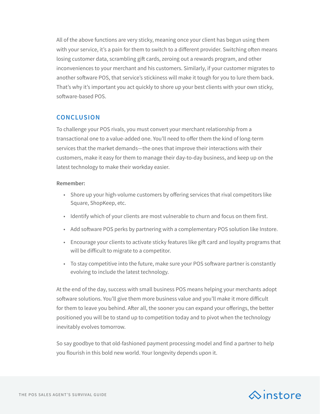All of the above functions are very sticky, meaning once your client has begun using them with your service, it's a pain for them to switch to a different provider. Switching often means losing customer data, scrambling gift cards, zeroing out a rewards program, and other inconveniences to your merchant and his customers. Similarly, if your customer migrates to another software POS, that service's stickiness will make it tough for you to lure them back. That's why it's important you act quickly to shore up your best clients with your own sticky, software-based POS.

# **CONCLUSION**

To challenge your POS rivals, you must convert your merchant relationship from a transactional one to a value-added one. You'll need to offer them the kind of long-term services that the market demands—the ones that improve their interactions with their customers, make it easy for them to manage their day-to-day business, and keep up on the latest technology to make their workday easier.

#### **Remember:**

- Shore up your high-volume customers by offering services that rival competitors like Square, ShopKeep, etc.
- Identify which of your clients are most vulnerable to churn and focus on them first.
- Add software POS perks by partnering with a complementary POS solution like Instore.
- Encourage your clients to activate sticky features like gift card and loyalty programs that will be difficult to migrate to a competitor.
- To stay competitive into the future, make sure your POS software partner is constantly evolving to include the latest technology.

At the end of the day, success with small business POS means helping your merchants adopt software solutions. You'll give them more business value and you'll make it more difficult for them to leave you behind. After all, the sooner you can expand your offerings, the better positioned you will be to stand up to competition today and to pivot when the technology inevitably evolves tomorrow.

So say goodbye to that old-fashioned payment processing model and find a partner to help you flourish in this bold new world. Your longevity depends upon it.